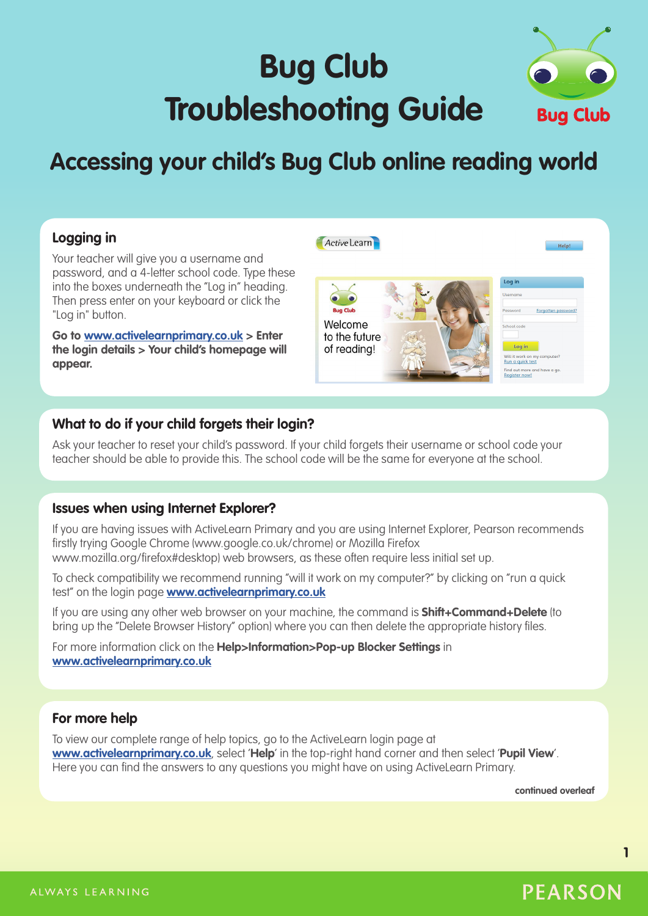# **Bug Club Troubleshooting Guide**



# **Accessing your child's Bug Club online reading world**

# **Logging in**

Your teacher will give you a username and password, and a 4-letter school code. Type these into the boxes underneath the "Log in" heading. Then press enter on your keyboard or click the "Log in" button.

**Go to www.activelearnprimary.co.uk > Enter the login details > Your child's homepage will appear.**



# **What to do if your child forgets their login?**

Ask your teacher to reset your child's password. If your child forgets their username or school code your teacher should be able to provide this. The school code will be the same for everyone at the school.

# **Issues when using Internet Explorer?**

If you are having issues with ActiveLearn Primary and you are using Internet Explorer, Pearson recommends firstly trying Google Chrome (www.google.co.uk/chrome) or Mozilla Firefox www.mozilla.org/firefox#desktop) web browsers, as these often require less initial set up.

To check compatibility we recommend running "will it work on my computer?" by clicking on "run a quick test" on the login page **www.activelearnprimary.co.uk**

If you are using any other web browser on your machine, the command is **Shift+Command+Delete** (to bring up the "Delete Browser History" option) where you can then delete the appropriate history files.

For more information click on the **Help>Information>Pop-up Blocker Settings** in **www.activelearnprimary.co.uk**

# **For more help**

To view our complete range of help topics, go to the ActiveLearn login page at **www.activelearnprimary.co.uk**, select '**Help**' in the top-right hand corner and then select '**Pupil View**'. Here you can find the answers to any questions you might have on using ActiveLearn Primary.

**continued overleaf**

**PEARSON** 

**1**

#### ALWAYS LEARNING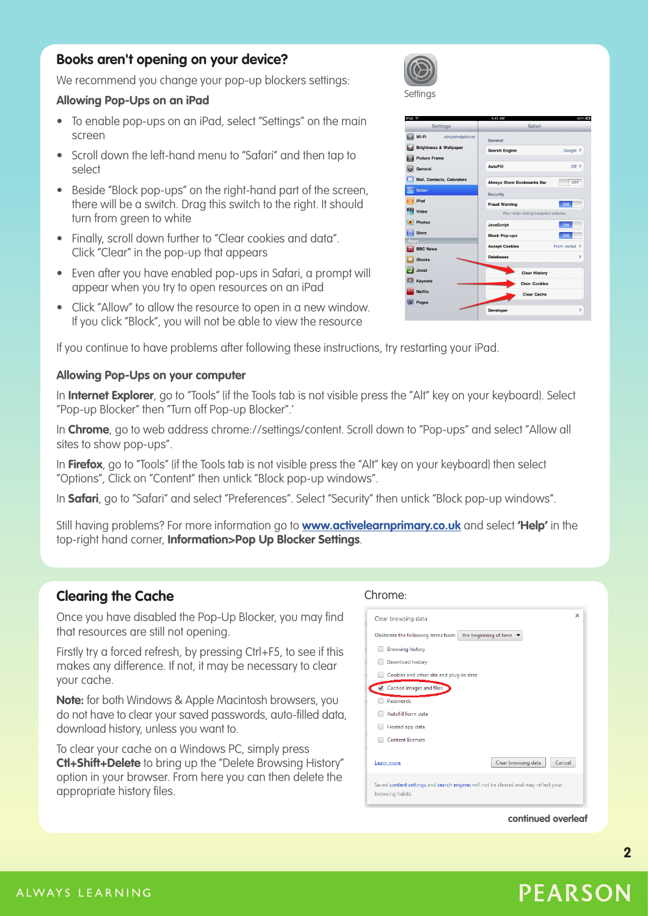# **Books aren't opening on your device?**

We recommend you change your pop-up blockers settings:

#### **Allowing Pop-Ups on an iPad**

- To enable pop-ups on an iPad, select "Settings" on the main screen
- Scroll down the left-hand menu to "Safari" and then tap to select
- Beside "Block pop-ups" on the right-hand part of the screen, there will be a switch. Drag this switch to the right. It should turn from green to white
- Finally, scroll down further to "Clear cookies and data". Click "Clear" in the pop-up that appears
- Even after you have enabled pop-ups in Safari, a prompt will appear when you try to open resources on an iPad
- Click "Allow" to allow the resource to open in a new window. If you click "Block", you will not be able to view the resource

If you continue to have problems after following these instructions, try restarting your iPad.

# **Allowing Pop-Ups on your computer**

In **Internet Explorer**, go to "Tools" (if the Tools tab is not visible press the "Alt" key on your keyboard). Select "Pop-up Blocker" then "Turn off Pop-up Blocker".'

In **Chrome**, go to web address chrome://settings/content. Scroll down to "Pop-ups" and select "Allow all sites to show pop-ups".

In **Firefox**, go to "Tools" (if the Tools tab is not visible press the "Alt" key on your keyboard) then select "Options", Click on "Content" then untick "Block pop-up windows".

In **Safari**, go to "Safari" and select "Preferences". Select "Security" then untick "Block pop-up windows".

Still having problems? For more information go to **www.activelearnprimary.co.uk** and select **'Help'** in the top-right hand corner, **Information>Pop Up Blocker Settings**.

# **Clearing the Cache**

Once you have disabled the Pop-Up Blocker, you may find that resources are still not opening.

Firstly try a forced refresh, by pressing Ctrl+F5, to see if this makes any difference. If not, it may be necessary to clear your cache.

**Note:** for both Windows & Apple Macintosh browsers, you do not have to clear your saved passwords, auto-filled data, download history, unless you want to.

To clear your cache on a Windows PC, simply press **Ctl+Shift+Delete** to bring up the "Delete Browsing History" option in your browser. From here you can then delete the appropriate history files.

#### Chrome:

| Clear browsing data                                                                                    | $\times$ |  |
|--------------------------------------------------------------------------------------------------------|----------|--|
| the beginning of time<br>Obliterate the following items from:                                          |          |  |
| <b>Browsing history</b>                                                                                |          |  |
| Download history                                                                                       |          |  |
| Cookies and other site and plug-in data                                                                |          |  |
| Cached images and files                                                                                |          |  |
| Passwords                                                                                              |          |  |
| Autofill form data                                                                                     |          |  |
| Hosted app data                                                                                        |          |  |
| <b>Content licenses</b>                                                                                |          |  |
| Clear browsing data<br>Cancel<br>Learn more                                                            |          |  |
| Saved content settings and search engines will not be cleared and may reflect your<br>browsing habits. |          |  |

#### **continued overleaf**

**2**

Settings

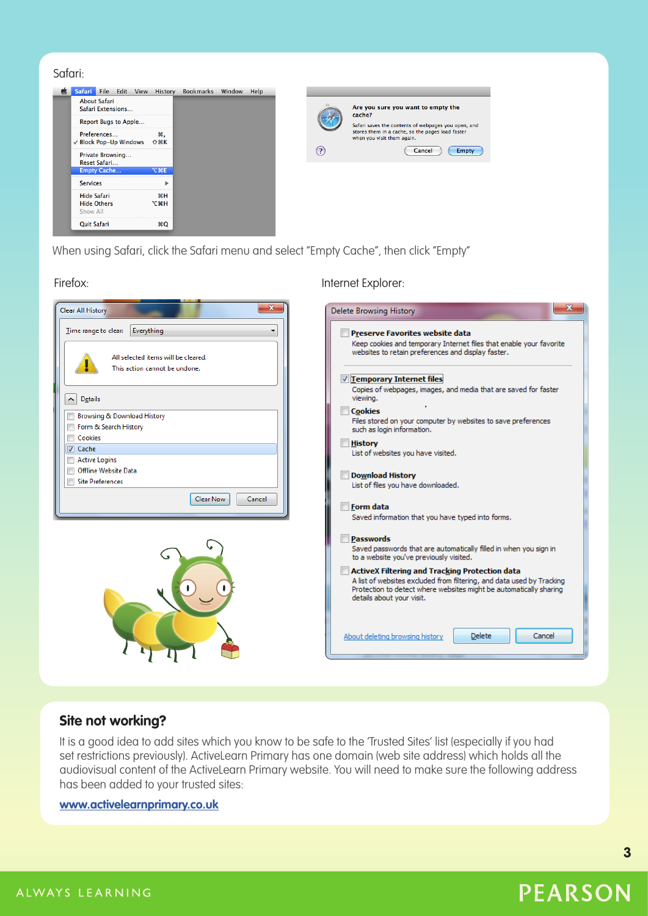| Juluit.                               |                   |                  |        |      |          |                                                                                |
|---------------------------------------|-------------------|------------------|--------|------|----------|--------------------------------------------------------------------------------|
| é.<br>Safari File Edit View           | History           | <b>Bookmarks</b> | Window | Help |          |                                                                                |
| About Safari<br>Safari Extensions     |                   |                  |        |      |          | Are you sure you want to empty the<br>cache?                                   |
| Report Bugs to Apple                  |                   |                  |        |      |          | Safari saves the contents of webpages you open, and                            |
| Preferences<br>√ Block Pop-Up Windows | ₩.<br><b>介 ポド</b> |                  |        |      |          | stores them in a cache, so the pages load faster<br>when you visit them again. |
| Private Browsing                      |                   |                  |        |      | $^\odot$ | Cancel<br>Empty                                                                |
| Reset Safari                          |                   |                  |        |      |          |                                                                                |
| <b>Empty Cache</b>                    | <b>NE</b>         |                  |        |      |          |                                                                                |
| <b>Services</b>                       | Þ.                |                  |        |      |          |                                                                                |
| <b>Hide Safari</b>                    | <b>H</b>          |                  |        |      |          |                                                                                |
| <b>Hide Others</b>                    | <b>H</b> 37       |                  |        |      |          |                                                                                |
| Show All                              |                   |                  |        |      |          |                                                                                |
| <b>Quit Safari</b>                    | <b>HQ</b>         |                  |        |      |          |                                                                                |

When using Safari, click the Safari menu and select "Empty Cache", then click "Empty"



Safari:



# **Site not working?**

It is a good idea to add sites which you know to be safe to the 'Trusted Sites' list (especially if you had set restrictions previously). ActiveLearn Primary has one domain (web site address) which holds all the audiovisual content of the ActiveLearn Primary website. You will need to make sure the following address has been added to your trusted sites:

# **www.activelearnprimary.co.uk**

**PEARSON** 

**3**

ALWAYS LEARNING